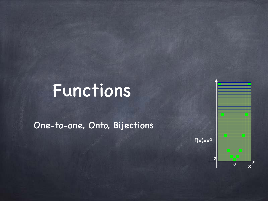### Functions

One-to-one, Onto, Bijections

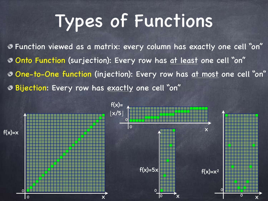## Types of Functions

Function viewed as a matrix: every column has exactly one cell "on" Onto Function (surjection): Every row has at least one cell "on" One-to-One function (injection): Every row has at most one cell "on" Bijection: Every row has exactly one cell "on"

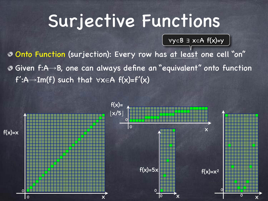#### Surjective Functions

∀y∈B ∃ x∈A f(x)=y

Onto Function (surjection): Every row has at least one cell "on" Given f:A→B, one can always define an "equivalent" onto function  $f': A \rightarrow Im(f)$  such that  $\forall x \in A$   $f(x)=f'(x)$ 

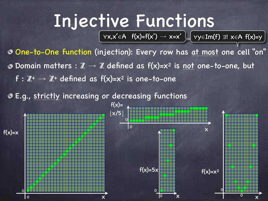### Injective Functions

 $\forall x,x' \in A$  f(x)=f(x')  $\rightarrow$  x=x'  $\bigcup \forall y \in Im(f)$  3! x $\in A$  f(x)=y  $\bigcap$ 

One-to-One function (injection): Every row has at most one cell "on" **O** Domain matters :  $\mathbb{Z} \to \mathbb{Z}$  defined as  $f(x)=x^2$  is not one-to-one, but  $f: \mathbb{Z}^+ \to \mathbb{Z}^+$  defined as  $f(x)=x^2$  is one-to-one

E.g., strictly increasing or decreasing functions

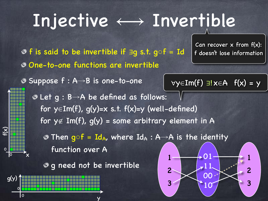## Injective  $\longleftrightarrow$  Invertible

One-to-one functions are invertible f is said to be invertible if ∃g s.t. g○f ≡ Id

Suppose f : A→B is one-to-one

Can recover x from f(x): f doesn't lose information

$$
\forall y \in Im(f) \exists ! x \in A \ f(x) = y
$$

Let g : B→A be defined as follows: for y∈Im(f), g(y)=x s.t.  $f(x)=y$  (well-defined) for  $y \notin Im(f)$ ,  $g(y)$  = some arbitrary element in A

• Then g $of = Id_A$ , where  $Id_A : A \rightarrow A$  is the identity function over A

**g** g need not be invertible

y

x

 $\Omega$ 

0

 $\widetilde{\mathcal{X}}$ 

0

0

g(y)

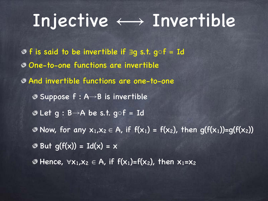#### Injective  $\longleftrightarrow$  Invertible

One-to-one functions are invertible And invertible functions are one-to-one Suppose f : A→B is invertible  $\odot$  Let g : B $\rightarrow$ A be s.t. g $\circ$ f = Id • Now, for any  $x_1, x_2 \in A$ , if  $f(x_1) = f(x_2)$ , then  $g(f(x_1)) = g(f(x_2))$  $\odot$  But g(f(x)) = Id(x) = x  $\bullet$  Hence,  $\forall x_1, x_2 \in A$ , if  $f(x_1)=f(x_2)$ , then  $x_1=x_2$ f is said to be invertible if ∃g s.t. g○f ≡ Id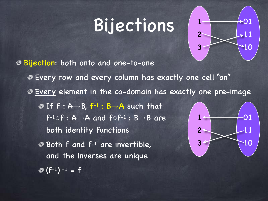#### Bijections



Bijection: both onto and one-to-one Every row and every column has exactly one cell "on" Every element in the co-domain has exactly one pre-image If  $f : A \rightarrow B$ ,  $f^{-1} : B \rightarrow A$  such that  $f^{-1} \circ f : A \rightarrow A$  and  $f \circ f^{-1} : B \rightarrow B$  are both identity functions  $\bullet$  Both f and  $f^{-1}$  are invertible, and the inverses are unique  $(f^{-1})^{-1} = f$ 1 2 3 01 11 10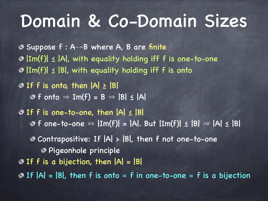#### Domain & Co-Domain Sizes

 $\bullet$  Suppose f : A→B where A, B are finite |Im(f)| ≤ |A|, with equality holding iff f is one-to-one  $\circ$   $|\overline{Im(f)}| \leq |B|$ , with equality holding iff f is onto  $\odot$  If f is onto, then  $|A| \ge |B|$  $\odot$  f onto  $\Rightarrow$  Im(f) = B  $\Rightarrow$  |B|  $\leq$  |A|  $\odot$  If f is one-to-one, then  $|A| \leq |B|$ **©** f one-to-one ⇔  $|Im(f)| = |A|$ . But  $|Im(f)| \le |B| \Rightarrow |A| \le |B|$ Contrapositive: If |A| > |B|, then f not one-to-one Pigeonhole principle  $O$  If f is a bijection, then  $|A| = |B|$ If |A| = |B|, then f is onto ≡ f in one-to-one ≡ f is a bijection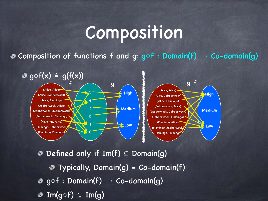#### Composition

• Composition of functions f and g:  $g \circ f :$  Domain(f) → Co-domain(g)



Defined only if Im(f) ⊆ Domain(g)  $\bullet$  Typically, Domain(g) = Co-domain(f)  $\circ$  gof : Domain(f)  $\rightarrow$  Co-domain(g) Im(g**○**f) ⊆ Im(g)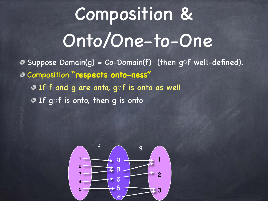# Composition & Onto/One-to-One

 $\bullet$  Suppose Domain(q) = Co-Domain(f) (then g<sup>of</sup> well-defined). Composition **"respects onto-ness"** o If f and g are onto, gof is onto as well If g○f is onto, then g is onto

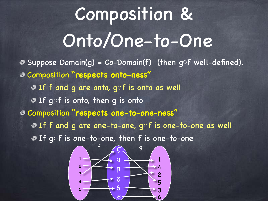# Composition & Onto/One-to-One

Composition **"respects one-to-one-ness"** If f and g are one-to-one, g○f is one-to-one as well If g○f is one-to-one, then f is one-to-one  $\bullet$  Suppose Domain(g) = Co-Domain(f) (then g<sup>of</sup> well-defined). Composition **"respects onto-ness"** If f and g are onto, g○f is onto as well **O** If gof is onto, then g is onto

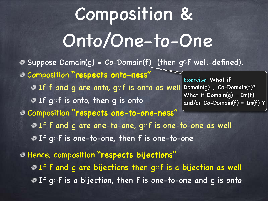# Composition & Onto/One-to-One

Composition **"respects one-to-one-ness"** If f and g are one-to-one, g○f is one-to-one as well If g○f is one-to-one, then f is one-to-one  $\bullet$  Suppose Domain(g) = Co-Domain(f) (then gof well-defined). Composition **"respects onto-ness"** If f and g are onto, gof is onto as well Domain(g)  $\geq$  Co-Domain(f)? **O** If gof is onto, then g is onto Exercise: What if What if Domain(g) = Im(f) and/or Co-Domain(f) = Im(f) ?

Hence, composition **"respects bijections"** If f and g are bijections then g○f is a bijection as well ■ If gof is a bijection, then f is one-to-one and g is onto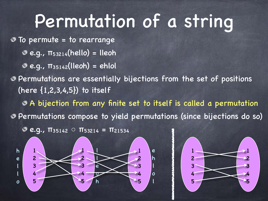### Permutation of a string

To permute = to rearrange

- $e.g.,$   $π_{53214}(hello) = lleoh$
- $e.g., \pi_{35142}$ (lleoh) = ehlol

Permutations are essentially bijections from the set of positions (here  $\{1, 2, 3, 4, 5\}$ ) to itself

A bijection from any finite set to itself is called a permutation

Permutations compose to yield permutations (since bijections do so)

1

e

1

1

2

3

4

5

2

3

4

5

h

l

o

l

2

3

4

5

**e.g.,**  $\pi_{35142}$  $\circ$  $\pi_{53214}$  **=**  $\pi_{21534}$ 

1

l

l

e

o

h

2

3

4

5

1

h

e

l

l

o

2

3

4

5